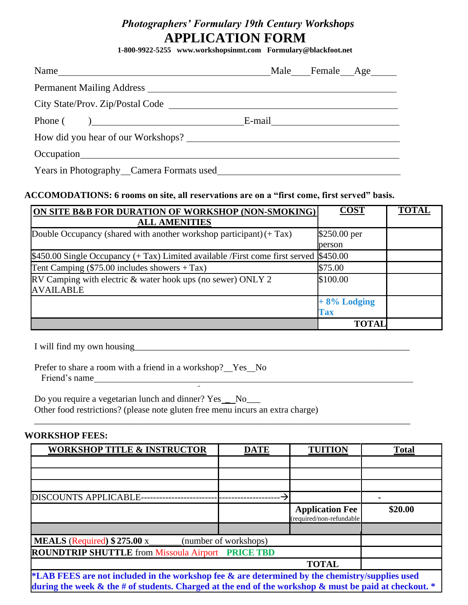## *Photographers' Formulary 19th Century Workshops* **APPLICATION FORM**

**1-800-9922-5255 www.workshopsinmt.com Formulary@blackfoot.net**

| Name                                     |  |  | Male Female Age |  |  |
|------------------------------------------|--|--|-----------------|--|--|
|                                          |  |  |                 |  |  |
| City State/Prov. Zip/Postal Code         |  |  |                 |  |  |
| Phone $\left($ $\right)$                 |  |  |                 |  |  |
| How did you hear of our Workshops?       |  |  |                 |  |  |
|                                          |  |  |                 |  |  |
| Years in Photography Camera Formats used |  |  |                 |  |  |

#### **ACCOMODATIONS: 6 rooms on site, all reservations are on a "first come, first served" basis.**

| <b>ON SITE B&amp;B FOR DURATION OF WORKSHOP (NON-SMOKING)</b>                          | <b>COST</b>    | <b>TOTAL</b> |
|----------------------------------------------------------------------------------------|----------------|--------------|
| <b>ALL AMENITIES</b>                                                                   |                |              |
| Double Occupancy (shared with another workshop participant) $(+ Tax)$                  | \$250.00 per   |              |
|                                                                                        | person         |              |
| $$450.00$ Single Occupancy (+ Tax) Limited available /First come first served \$450.00 |                |              |
| Tent Camping $(\$75.00$ includes showers + Tax)                                        | \$75.00        |              |
| RV Camping with electric & water hook ups (no sewer) ONLY 2                            | \$100.00       |              |
| <b>AVAILABLE</b>                                                                       |                |              |
|                                                                                        | $+8\%$ Lodging |              |
|                                                                                        | <b>Tax</b>     |              |
|                                                                                        | <b>TOTAL</b>   |              |

I will find my own housing\_\_\_\_\_\_\_\_\_\_\_\_\_\_\_\_\_\_\_\_\_\_\_\_\_\_\_\_\_\_\_\_\_\_\_\_\_\_\_\_\_\_\_\_\_\_\_\_\_\_\_\_\_\_\_\_\_\_\_\_

Prefer to share a room with a friend in a workshop? Yes No Friend's name

Do you require a vegetarian lunch and dinner? Yes \_\_No\_\_\_ Other food restrictions? (please note gluten free menu incurs an extra charge)

#### **WORKSHOP FEES:**

| <b>WORKSHOP TITLE &amp; INSTRUCTOR</b>                                                                                                                                                                        | <b>DATE</b> | <b>TUITION</b>                                     | <b>Total</b> |
|---------------------------------------------------------------------------------------------------------------------------------------------------------------------------------------------------------------|-------------|----------------------------------------------------|--------------|
|                                                                                                                                                                                                               |             |                                                    |              |
|                                                                                                                                                                                                               |             |                                                    |              |
|                                                                                                                                                                                                               |             |                                                    |              |
| <b>DISCOUNTS APPLICABLE--</b>                                                                                                                                                                                 |             |                                                    |              |
|                                                                                                                                                                                                               |             | <b>Application Fee</b><br>(required/non-refundable | \$20.00      |
|                                                                                                                                                                                                               |             |                                                    |              |
| <b>MEALS</b> (Required) $$275.00 \text{ x}$<br>(number of workshops)                                                                                                                                          |             |                                                    |              |
| <b>ROUNDTRIP SHUTTLE</b> from Missoula Airport PRICE TBD                                                                                                                                                      |             |                                                    |              |
|                                                                                                                                                                                                               |             | <b>TOTAL</b>                                       |              |
| *LAB FEES are not included in the workshop fee & are determined by the chemistry/supplies used<br>during the week $\&$ the # of students. Charged at the end of the workshop $\&$ must be paid at checkout. * |             |                                                    |              |

\_\_\_\_\_\_\_\_\_\_\_\_\_\_\_\_\_\_\_\_\_\_\_\_\_\_\_\_\_\_\_\_\_\_\_\_\_\_\_\_\_\_\_\_\_\_\_\_\_\_\_\_\_\_\_\_\_\_\_\_\_\_\_\_\_\_\_\_\_\_\_\_\_\_\_\_\_\_\_\_\_\_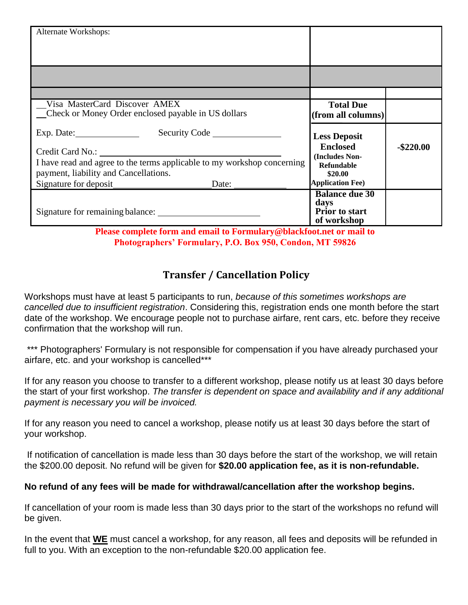| Alternate Workshops:                                                    |                                      |              |
|-------------------------------------------------------------------------|--------------------------------------|--------------|
|                                                                         |                                      |              |
|                                                                         |                                      |              |
|                                                                         |                                      |              |
|                                                                         |                                      |              |
| Visa MasterCard Discover AMEX                                           | <b>Total Due</b>                     |              |
| _Check or Money Order enclosed payable in US dollars                    | (from all columns)                   |              |
| Security Code<br>Exp. Date: $\qquad \qquad$                             | <b>Less Deposit</b>                  |              |
|                                                                         | <b>Enclosed</b>                      | $-$ \$220.00 |
| I have read and agree to the terms applicable to my workshop concerning | (Includes Non-<br><b>Refundable</b>  |              |
| payment, liability and Cancellations.                                   | \$20.00                              |              |
| Signature for deposit Date:                                             | <b>Application Fee)</b>              |              |
|                                                                         | <b>Balance due 30</b>                |              |
|                                                                         | days                                 |              |
|                                                                         | <b>Prior</b> to start<br>of workshop |              |

**Please complete form and email to Formulary@blackfoot.net or mail to Photographers' Formulary, P.O. Box 950, Condon, MT 59826**

## **Transfer / Cancellation Policy**

Workshops must have at least 5 participants to run, *because of this sometimes workshops are cancelled due to insufficient registration*. Considering this, registration ends one month before the start date of the workshop. We encourage people not to purchase airfare, rent cars, etc. before they receive confirmation that the workshop will run.

\*\*\* Photographers' Formulary is not responsible for compensation if you have already purchased your airfare, etc. and your workshop is cancelled\*\*\*

If for any reason you choose to transfer to a different workshop, please notify us at least 30 days before the start of your first workshop. *The transfer is dependent on space and availability and if any additional payment is necessary you will be invoiced.*

If for any reason you need to cancel a workshop, please notify us at least 30 days before the start of your workshop.

If notification of cancellation is made less than 30 days before the start of the workshop, we will retain the \$200.00 deposit. No refund will be given for **\$20.00 application fee, as it is non-refundable.**

## **No refund of any fees will be made for withdrawal/cancellation after the workshop begins.**

If cancellation of your room is made less than 30 days prior to the start of the workshops no refund will be given.

In the event that **WE** must cancel a workshop, for any reason, all fees and deposits will be refunded in full to you. With an exception to the non-refundable \$20.00 application fee.